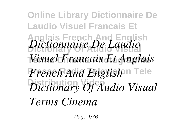**Online Library Dictionnaire De Laudio Visuel Francais Et Anglais French And English Dictionary Of Audio Visual** *Dictionnaire De Laudio* **Terms Cinema Photographie** *Visuel Francais Et Anglais*  $F$ rench And English<sup>on Tele</sup> **Distribution Video** *Dictionary Of Audio Visual Terms Cinema*

Page 1/76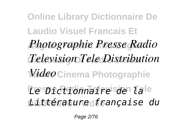**Online Library Dictionnaire De Laudio Visuel Francais Et Anglais French And English** *Photographie Presse Radio* **Dictionary Of Audio Visual** *Television Tele Distribution*  $\overline{Video}$ Cinema Photographie **Presse Radio Television Tele** *Le Dictionnaire de la* **Distribution Video** *Littérature française du*

Page 2/76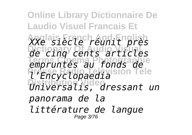**Online Library Dictionnaire De Laudio Visuel Francais Et Anglais French And English** *XXe siècle réunit près* **Dictionary Of Audio Visual** *de cinq cents articles* **Terms Cinema Photographie** *empruntés au fonds de* **Presse Radio Television Tele** *l'Encyclopaedia* **Distribution Video** *Universalis, dressant un panorama de la littérature de langue* Page 3/76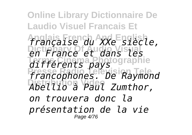**Online Library Dictionnaire De Laudio Visuel Francais Et Anglais French And English** *française du XXe siècle,* **Dictionary Of Audio Visual** *en France et dans les* différents pays **Presse Radio Television Tele** *francophones. De Raymond* **Distribution Video** *Abellio à Paul Zumthor, on trouvera donc la présentation de la vie* Page 4/76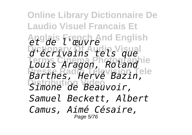**Online Library Dictionnaire De Laudio Visuel Francais Et Anglais French And English** *et de l'œuvre* **Dictionary Of Audio Visual** *d'écrivains tels que* **Terms Cinema Photographie** *Louis Aragon, Roland* **Presse Radio Television Tele** *Barthes, Hervé Bazin,* **Distribution Video** *Simone de Beauvoir, Samuel Beckett, Albert Camus, Aimé Césaire,* Page 5/76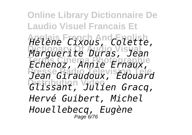**Online Library Dictionnaire De Laudio Visuel Francais Et Anglais French And English** *Hélène Cixous, Colette,* **Dictionary Of Audio Visual** *Marguerite Duras, Jean* **Terms Cinema Photographie** *Echenoz, Annie Ernaux,* **Presse Radio Television Tele** *Jean Giraudoux, Édouard* **Distribution Video** *Glissant, Julien Gracq, Hervé Guibert, Michel Houellebecq, Eugène* Page 6/76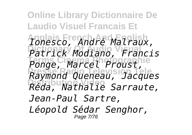**Online Library Dictionnaire De Laudio Visuel Francais Et Anglais French And English** *Ionesco, André Malraux,* **Dictionary Of Audio Visual** *Patrick Modiano, Francis* **Terms Cinema Photographie** *Ponge, Marcel Proust,* **Presse Radio Television Tele** *Raymond Queneau, Jacques* **Distribution Video** *Réda, Nathalie Sarraute, Jean-Paul Sartre, Léopold Sédar Senghor,* Page 7/76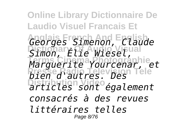**Online Library Dictionnaire De Laudio Visuel Francais Et Anglais French And English** *Georges Simenon, Claude* Simon, Élie Wiesel, **Terms Cinema Photographie** *Marguerite Yourcenar, et* **Presse Radio Television Tele** *bien d'autres. Des* **Distribution Video** *articles sont également consacrés à des revues littéraires telles* Page 8/76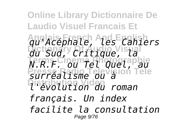**Online Library Dictionnaire De Laudio Visuel Francais Et Anglais French And English** *qu'Acéphale, les Cahiers* **Dictionary Of Audio Visual** *du Sud, Critique, la* **Terms Cinema Photographie** *N.R.F. ou Tel Quel, au* **Presse Radio Television Tele** *surréalisme ou à* **Distribution Video** *l'évolution du roman français. Un index facilite la consultation* Page 9/76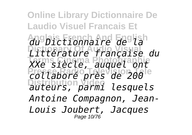**Online Library Dictionnaire De Laudio Visuel Francais Et Anglais French And English** *du Dictionnaire de la* **Dictionary Of Audio Visual** *Littérature française du* **Terms Cinema Photographie** *XXe siècle, auquel ont* **Presse Radio Television Tele** *collaboré près de 200* **Distribution Video** *auteurs, parmi lesquels Antoine Compagnon, Jean-Louis Joubert, Jacques* Page 10/76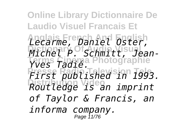**Online Library Dictionnaire De Laudio Visuel Francais Et Anglais French And English** *Lecarme, Daniel Oster,* **Dictionary Of Audio Visual** *Michel P. Schmitt, Jean-***Terms Cinema Photographie** *Yves Tadié.* **Presse Radio Television Tele** *First published in 1993.* **Distribution Video** *Routledge is an imprint of Taylor & Francis, an informa company.* Page 11/76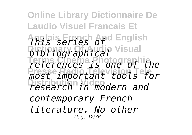**Online Library Dictionnaire De Laudio Visuel Francais Et Anglais French And English** *This series of bibliographical* Visual **Terms Cinema Photographie** *references is one of the* **Presse Radio Television Tele** *most important tools for* **Distribution Video** *research in modern and contemporary French literature. No other* Page 12/76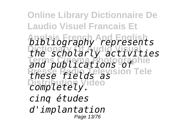**Online Library Dictionnaire De Laudio Visuel Francais Et Anglais French And English** *bibliography represents* **Dictionary Of Audio Visual** *the scholarly activities* **Terms Cinema Photographie** *and publications of* **Presse Radio Television Tele** *these fields as* **Completely**. *cinq études d'implantation* Page 13/76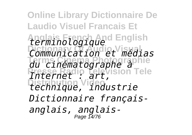**Online Library Dictionnaire De Laudio Visuel Francais Et Anglais French And English** *terminologique* **Dictionary Of Audio Visual** *Communication et médias* **Terms Cinema Photographie** *du cinématographe à* **Presse Radio Television Tele** *Internet : art,* **Distribution Video** *technique, industrie Dictionnaire françaisanglais, anglais-*Page 14/76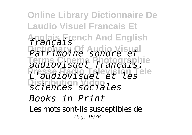**Online Library Dictionnaire De Laudio Visuel Francais Et Anglais French And English** *français* **Dictionary Of Audio Visual** *Patrimoine sonore et* **Terms Cinema Photographie** *audiovisuel français:* **Presse Radio Television Tele** *L'audiovisuel et les* **Distribution Video** *sciences sociales Books in Print* Les mots sont-ils susceptibles de Page 15/76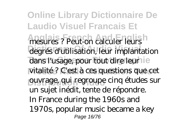**Online Library Dictionnaire De Laudio Visuel Francais Et Anglais French And English** mesures ? Peut-on calculer leurs degrés d'utilisation, leur implantation dans l'usage, pour tout dire leur le vitalité? C'est à ces questions que cet ouvrage, qui regroupe cinq études sur un sujet inédit, tente de répondre. In France during the 1960s and 1970s, popular music became a key Page 16/76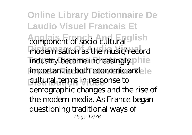**Online Library Dictionnaire De Laudio Visuel Francais Et** Ann and **French And Transferrench And Transferrench And Transferrench And Transferrench And Transferrench And Transferrench And Transferrench Andrew School and Transferrench Andrew School and Transferrench Andrew School an** modernisation as the music/record industry became increasingly phie important in both economic and le cultural terms in response to demographic changes and the rise of the modern media. As France began questioning traditional ways of Page 17/76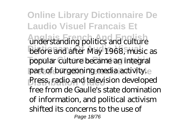**Online Library Dictionnaire De Laudio Visuel Francais Et** understanding politics and culture before and after May 1968, music as popular culture became an integral part of burgeoning media activity.e Press, radio and television developed free from de Gaulle's state domination of information, and political activism shifted its concerns to the use of Page 18/76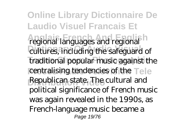**Online Library Dictionnaire De Laudio Visuel Francais Et Anglais French And English** regional languages and regional cultures, including the safeguard of traditional popular music against the centralising tendencies of the Tele **Distribution Video** Republican state. The cultural and political significance of French music was again revealed in the 1990s, as French-language music became a Page 19/76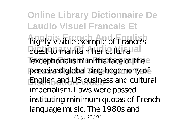**Online Library Dictionnaire De Laudio Visuel Francais Et** highly visible example of France's quest to maintain her cultural al lexceptionalism' in the face of the perceived globalising hegemony of **Distribution Video** English and US business and cultural imperialism. Laws were passed instituting minimum quotas of Frenchlanguage music. The 1980s and Page 20/76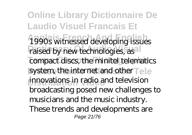**Online Library Dictionnaire De Laudio Visuel Francais Et Anglais French And English** 1990s witnessed developing issues raised by new technologies, as all compact discs, the minitel telematics system, the internet and other Tele innovations in radio and television broadcasting posed new challenges to musicians and the music industry. These trends and developments are Page 21/76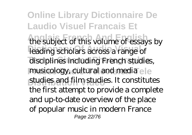**Online Library Dictionnaire De Laudio Visuel Francais Et** the subject of this volume of essays by leading scholars across a range of disciplines including French studies, musicology, cultural and media ele studies and film studies. It constitutes the first attempt to provide a complete and up-to-date overview of the place of popular music in modern France Page 22/76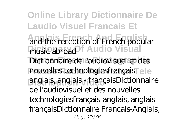**Online Library Dictionnaire De Laudio Visuel Francais Et Anglais French And English Digionary Of Audio Visual** Dictionnaire de l'audiovisuel et des nouvelles technologiesfrançais - e le **Distribution Video** anglais, anglais - françaisDictionnaire and the reception of French popular music abroad. de l'audiovisuel et des nouvelles technologiesfrançais-anglais, anglaisfrançaisDictionnaire Francais-Anglais, Page 23/76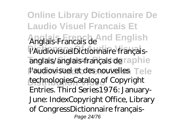**Online Library Dictionnaire De Laudio Visuel Francais Et Anglais French And English** Anglais-Francais de l'AudiovisuelDictionnaire françaisanglais/anglais-français de raphie l'audiovisuel et des nouvelles Tele technologiesCatalog of Copyright Entries. Third Series1976: January-June: IndexCopyright Office, Library of CongressDictionnaire français-Page 24/76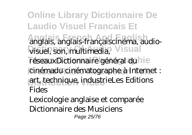**Online Library Dictionnaire De Laudio Visuel Francais Et Anglais French And English** anglais, anglais-françaiscinéma, audio-**Visuel, son, multimedia, Visual** réseauxDictionnaire général du lie cinémadu cinématographe à Internet : **Distribution Video** art, technique, industrieLes Editions Fides Lexicologie anglaise et comparée

Dictionnaire des Musiciens

Page 25/76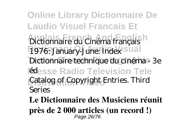**Online Library Dictionnaire De Laudio Visuel Francais Et Anglais French And English** Dictionnaire du Cinéma français 1976: January-June: Index sual Dictionnaire technique du cinéma - 3e **Fedesse Radio Television Tele** Catalog of Copyright Entries. Third Series

**Le Dictionnaire des Musiciens réunit près de 2 000 articles (un record !)** Page 26/76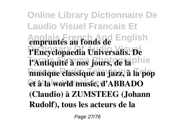**Online Library Dictionnaire De Laudio Visuel Francais Et Anglais French And English empruntés au fonds de** l'Encyclopaedia Universalis. De l'Antiquité à nos jours, de la phie **Presse Radio Television Tele musique classique au jazz, à la pop Distribution Video et à la world music, d'ABBADO (Claudio) à ZUMSTEEG (Johann Rudolf), tous les acteurs de la**

Page 27/76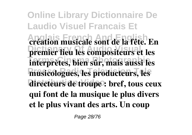**Online Library Dictionnaire De Laudio Visuel Francais Et Anglais French And English création musicale sont de la fête. En Dictionary Of Audio Visual premier lieu les compositeurs et les Terms Cinema Photographie interprètes, bien sûr, mais aussi les Presse Radio Television Tele musicologues, les producteurs, les** directeurs de troupe : bref, tous ceux **qui font de la musique le plus divers et le plus vivant des arts. Un coup**

Page 28/76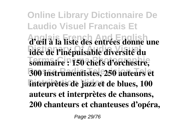**Online Library Dictionnaire De Laudio Visuel Francais Et Anglais French And English d'œil à la liste des entrées donne une Dictionary Of Audio Visual idée de l'inépuisable diversité du Terms Cinema Photographie sommaire : 150 chefs d'orchestre, Presse Radio Television Tele 300 instrumentistes, 250 auteurs et interprètes de jazz et de blues, 100 auteurs et interprètes de chansons, 200 chanteurs et chanteuses d'opéra,**

Page 29/76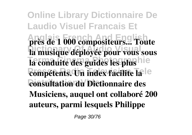**Online Library Dictionnaire De Laudio Visuel Francais Et Anglais French And English près de 1 000 compositeurs... Toute** la musique déployée pour vous sous **La conduite des guides les plus** hie **compétents. Un index facilite la** e **Distribution Video consultation du Dictionnaire des Musiciens, auquel ont collaboré 200 auteurs, parmi lesquels Philippe**

Page 30/76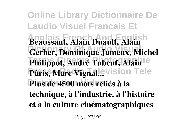**Online Library Dictionnaire De Laudio Visuel Francais Et Anglais French And English Beaussant, Alain Duault, Alain** Gerber, Dominique Jameux, Michel Philippot, André Tubeuf, Alain<sup>ie</sup> Pâris, Marc Vignal.evision Tele **Distribution Video Plus de 4500 mots reliés à la technique, à l'industrie, à l'histoire et à la culture cinématographiques**

Page 31/76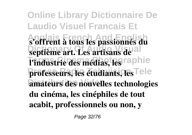**Online Library Dictionnaire De Laudio Visuel Francais Et Anglais French And English s'offrent à tous les passionnés du septième art. Les artisans de al l'industrie des médias, les raphie** professeurs, les étudiants, les <sup>Tele</sup> amateurs des nouvelles technologies **du cinéma, les cinéphiles de tout acabit, professionnels ou non, y**

Page 32/76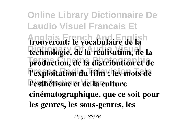**Online Library Dictionnaire De Laudio Visuel Francais Et Anglais French And English trouveront: le vocabulaire de la** technologie, de la réalisation, de la **Terms Cinema Photographie production, de la distribution et de Presse Radio Television Tele l'exploitation du film ; les mots de** Pesthétisme et de la culture **cinématographique, que ce soit pour les genres, les sous-genres, les**

Page 33/76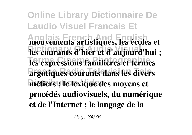**Online Library Dictionnaire De Laudio Visuel Francais Et Anglais French And English mouvements artistiques, les écoles et** les courants d'hier et d'aujourd'hui ; **Les expressions familières et termes Presse Radio Television Tele argotiques courants dans les divers Distribution Video métiers ; le lexique des moyens et procédés audiovisuels, du numérique et de l'Internet ; le langage de la**

Page 34/76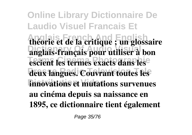**Online Library Dictionnaire De Laudio Visuel Francais Et Anglais French And English théorie et de la critique ; un glossaire Dictionary Of Audio Visual anglais-français pour utiliser à bon Tescient les termes exacts dans les** deux langues. Couvrant toutes les **innovations et mutations survenues au cinéma depuis sa naissance en 1895, ce dictionnaire tient également**

Page 35/76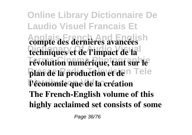**Online Library Dictionnaire De Laudio Visuel Francais Et Anglais French And English compte des dernières avancées** techniques et de l'impact de la révolution numérique, tant sur le plan de la production et den Tele **Distribution Video l'économie que de la création The French-English volume of this highly acclaimed set consists of some**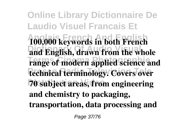**Online Library Dictionnaire De Laudio Visuel Francais Et Anglais French And English 100,000 keywords in both French** and English, drawn from the whole **Terms Cinema Photographie range of modern applied science and technical terminology. Covers over Distribution Video 70 subject areas, from engineering and chemistry to packaging, transportation, data processing and**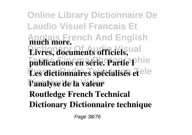**Online Library Dictionnaire De Laudio Visuel Francais Et Anglais French And English much more.** Livres, documents officiels, publications en série. Partie Phie Les dictionnaires spécialisés et<sup>ele</sup> **Distribution Video l'analyse de la valeur Routledge French Technical Dictionary Dictionnaire technique**

Page 38/76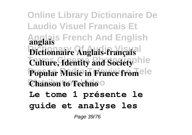**Online Library Dictionnaire De Laudio Visuel Francais Et Anglais French And English anglais** Dictionnaire Anglais-français **Culture, Identity and Society** hie **Popular Music in France from ele Chanson to Techno**<sup>o</sup>

**Le tome 1 présente le guide et analyse les**

Page 39/76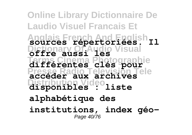**Online Library Dictionnaire De Laudio Visuel Francais Et Anglais French And English sources répertoriées. Il Dictionary Of Audio Visual offre aussi les Terms Cinema Photographie différentes clés pour Presse Radio Television Tele accéder aux archives Distribution Video disponibles : liste alphabétique des institutions, index géo-**Page 40/76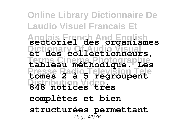**Online Library Dictionnaire De Laudio Visuel Francais Et Anglais French And English sectoriel des organismes Dictionary Of Audio Visual et des collectionneurs, Terms Cinema Photographie tableau méthodique. Les Presse Radio Television Tele tomes 2 à 5 regroupent Distribution Video 848 notices très complètes et bien structurées permettant** Page 41/76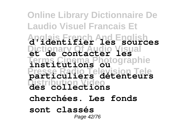## **Online Library Dictionnaire De Laudio Visuel Francais Et Anglais French And English d'identifier les sources Dictionary Of Audio Visual et de contacter les naranhie Presse Radio Television Tele particuliers détenteurs Distribution Video des collections institutions ou cherchées. Les fonds sont classés** Page 42/76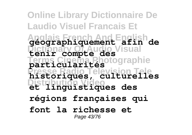**Online Library Dictionnaire De Laudio Visuel Francais Et Anglais French And English géographiquement afin de Dictionary Of Audio Visual tenir compte des Terms Cinema Photographie particularités Presse Radio Television Tele historiques, culturelles Distribution Video et linguistiques des régions françaises qui font la richesse et** Page 43/76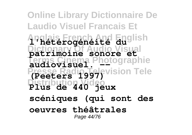**Online Library Dictionnaire De Laudio Visuel Francais Et Anglais French And English l'hétérogénéité du Dictionary Of Audio Visual patrimoine sonore et** Photographie **Presse Radio Television Tele Distribution Video Plus de 440 jeux audiovisuel. -- (Peeters 1997) scéniques (qui sont des oeuvres théâtrales** Page 44/76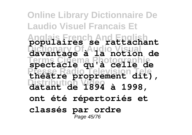**Online Library Dictionnaire De Laudio Visuel Francais Et Anglais French And English populaires se rattachant Dictionary Of Audio Visual davantage à la notion de Terms Cinema Photographie spectacle qu'à celle de Presse Radio Television Tele théâtre proprement dit), Distribution Video datant de 1894 à 1998, ont été répertoriés et classés par ordre** Page 45/76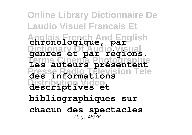**Online Library Dictionnaire De Laudio Visuel Francais Et Anglais French And English chronologique, par Dictionary Of Audio Visual genres et par régions. Terms Cinema Photographie Les auteurs présentent** des<sup>s</sup> **Distribution Video descriptives et** informati **bibliographiques sur chacun des spectacles** Page 46/76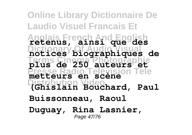**Online Library Dictionnaire De Laudio Visuel Francais Et Anglais French And English retenus, ainsi que des Dictionary Of Audio Visual notices biographiques de Terms Cinema Photographie plus de 250 auteurs et Presse Radio Television Tele metteurs en scène Distribution Video (Ghislain Bouchard, Paul Buissonneau, Raoul Duguay, Rina Lasnier,** Page 47/76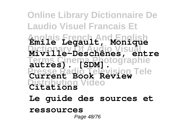## **Online Library Dictionnaire De Laudio Visuel Francais Et Anglais French And English Émile Legault, Monique Dictionary Of Audio Visual Miville-Deschênes, entre Terms Cinema Photographie autres). [SDM]. Presse Radio Television Tele Current Book Review Distribution Video Citations**

**Le guide des sources et**

## **ressources**

Page 48/76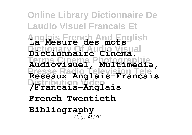**Online Library Dictionnaire De Laudio Visuel Francais Et Anglais French And English La Mesure des mots Dictionary Of Audio Visual Dictionnaire Cinema, Terms Cinema Photographie Audiovisuel, Multimedia, Presse Radio Television Tele Reseaux Anglais-Francais Distribution Video /Francais-Anglais French Twentieth Bibliography** Page 49/76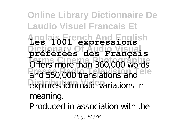**Online Library Dictionnaire De Laudio Visuel Francais Et Anglais French And English Les 1001 expressions Dictionary Of Audio Visual préférées des Français Terms Cinema Photographie** Offers more than 360,000 words **Presse Radio Television Tele** and 550,000 translations and explores idiomatic variations in meaning. Produced in association with the

Page 50/76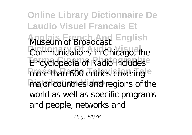**Online Library Dictionnaire De Laudio Visuel Francais Et Anglais French And English** Museum of Broadcast **Communications** in Chicago<sup>1</sup> **They Conedia of Radio includes** more than 600 entries covering<sup>le</sup> major countries and regions of the Communications in Chicago, the Encyclopedia of Radio includes world as well as specific programs and people, networks and

Page 51/76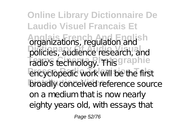**Online Library Dictionnaire De Laudio Visuel Francais Et** Anganizations, regulation and **Sh Dictionary Of Audio Visual** policies, audience research, and radio's technology. This graphie encyclopedic work will be the first **broadly conceived reference source** on a medium that is now nearly eighty years old, with essays that

Page 52/76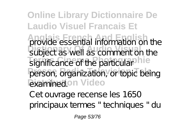**Online Library Dictionnaire De Laudio Visuel Francais Et Anglais French And English District as Commental** significance of the particular hie person, organization, or topic being *<u>Examinedion</u>* Video provide essential information on the subject as well as comment on the

Cet ouvrage recense les 1650 principaux termes " techniques " du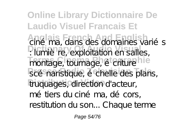**Online Library Dictionnaire De Laudio Visuel Francais Et** ciné ma, dans des domaines variés **Dictionary Of Audio Visual** : lumière, exploitation en salles, montage, tournage, é criture hie scé naristique, é chelle des plans, truquages, direction d'acteur, mé tiers du cinéma, décors, restitution du son... Chaque terme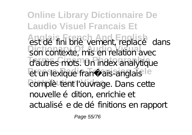**Online Library Dictionnaire De Laudio Visuel Francais Et Anglais French And English** son contaxta<sup>ry m</sup>is an ralation<sup>2</sup> d'autres mots. Un index analytique et un lexique franç ais-anglais<sup>le</sup> complè<sup>tent l'ouvrage. Dans cette</sup> est défini brièvement, replacé dans son contexte, mis en relation avec nouvelle é dition, enrichie et actualisé e de définitions en rapport

Page 55/76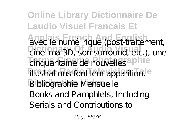**Online Library Dictionnaire De Laudio Visuel Francais Et Anglais French And English Diné ma 3D** Son surround etc **Terms Cinema Photographie illustrations font leur apparition.** le **Distribution Video** Bibliographie Mensuelle avec le numé rique (post-traitement, ciné ma 3D, son surround, etc.), une cinquantaine de nouvelles Books and Pamphlets, Including Serials and Contributions to

Page 56/76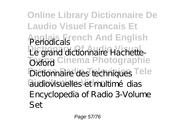**Online Library Dictionnaire De Laudio Visuel Francais Et Anglais French And English** Periodicals Pecarana dictionary Hachette **Toxma** Cinema Photographie Dictionnaire des techniques Tele audiovisuelles et multimé dias Le grand dictionnaire Hachette-Oxford Encyclopedia of Radio 3-Volume Set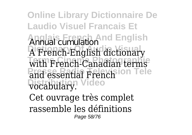**Online Library Dictionnaire De Laudio Visuel Francais Et Anglais French And English** Annual cumulation A French-English dictionary with French-Canadian terms and essential French<sup>ion</sup> Tele **Distribution Video** vocabulary. Cet ouvrage très complet rassemble les définitions Page 58/76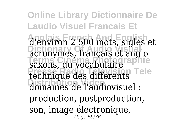**Online Library Dictionnaire De Laudio Visuel Francais Et Anglais French And English** d'environ 2 500 mots, sigles et acronymes, français et anglo-**Terms Cinema Photographie** saxons, du vocabulaire **Presse Radio Tele Distribution Video** domaines de l'audiovisuel : production, postproduction, son, image électronique, Page 59/76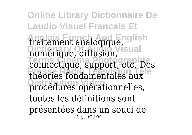**Online Library Dictionnaire De Laudio Visuel Francais Et Anglais French And English** traitement analogique, numérique, diffusion, **Terms Cinema Photographie** connectique, support, etc. Des **Presse Radio Television Tele** théories fondamentales aux **Distribution Video** procédures opérationnelles, toutes les définitions sont présentées dans un souci de Page 60/76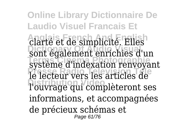**Online Library Dictionnaire De Laudio Visuel Francais Et Anglais French And English** clarté et de simplicité. Elles sont également enrichies d'un système d'indexation renvoyant **Presse Radio Television Tele** le lecteur vers les articles de **Distribution Video** l'ouvrage qui complèteront ses informations, et accompagnées de précieux schémas et Page 61/76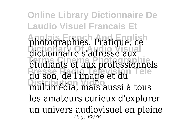**Online Library Dictionnaire De Laudio Visuel Francais Et Anglais French And English** photographies. Pratique, ce dictionnaire s'adresse aux **Terms Cinema Photographie** étudiants et aux professionnels **Presse Radio Television Tele** du son, de l'image et du **Distribution Video** multimédia, mais aussi à tous les amateurs curieux d'explorer un univers audiovisuel en pleine Page 62/76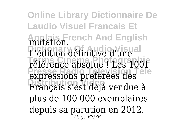**Online Library Dictionnaire De Laudio Visuel Francais Et Anglais French And English** mutation. L'édition définitive d'une **Terms Cinema Photographie** référence absolue ! Les 1001 expressions préférées des **Distribution Video** Français s'est déjà vendue à plus de 100 000 exemplaires depuis sa parution en 2012. Page 63/76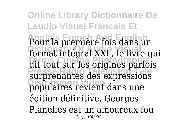**Online Library Dictionnaire De Laudio Visuel Francais Et** Pour la première fois dans un **Dictionary Of Audio Visual** format intégral XXL, le livre qui **Terms Cinema Photographie** dit tout sur les origines parfois **Presse Radio Television Tele** surprenantes des expressions **Distribution Video** populaires revient dans une édition définitive. Georges Planelles est un amoureux fou Page 64/76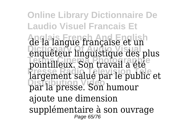**Online Library Dictionnaire De Laudio Visuel Francais Et Anglais French And English** de la langue française et un **Dictionary Of Audio Visual** enquêteur linguistique des plus **Terms Cinema Photographie** pointilleux. Son travail a été **Presse Radio Television Tele** largement salué par le public et **Distribution Video** par la presse. Son humour ajoute une dimension supplémentaire à son ouvrage Page 65/76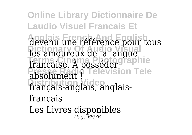**Online Library Dictionnaire De Laudio Visuel Francais Et** devenu une référence pour tous les amoureux de la langue **Terms Cinema Photographie Presse Radio Television Tele Distribution Video** français-anglais, anglaisfrançaise. À posséder absolument français Les Livres disponibles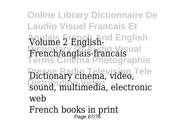**Online Library Dictionnaire De Laudio Visuel Francais Et Anglais French And English** Volume 2 English-**Dictionary Of Audio Visual Terms Cinema Photographie Presse Radio Television Tele** Dictionary cinema, video, **Distribution Video** sound, multimedia, electronic French/anglais-francais web French books in print Page 67/76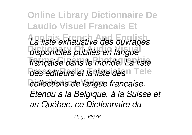**Online Library Dictionnaire De Laudio Visuel Francais Et Anglais French And English** *La liste exhaustive des ouvrages* **Dictionary Of Audio Visual** *disponibles publiés en langue* **Terms Cinema Photographie** *française dans le monde. La liste des éditeurs et la liste des* n Tele  $collections$  de langue française. *Étendu à la Belgique, à la Suisse et au Québec, ce Dictionnaire du*

Page 68/76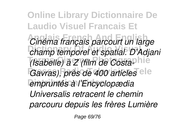**Online Library Dictionnaire De Laudio Visuel Francais Et Anglais French And English** *Cinéma français parcourt un large* **Dictionary Of Audio Visual** *champ temporel et spatial. D'Adjani (Isabelle) à Z (film de Costa*phie Gavras), près de 400 articles<sup>e le</sup> empruntés à l'Encyclopædia *Universalis retracent le chemin parcouru depuis les frères Lumière*

Page 69/76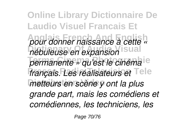**Online Library Dictionnaire De Laudio Visuel Francais Et Anglais French And English** *pour donner naissance à cette «* **Dictionary Of Audio Visual** *nébuleuse en expansion* permanente » qu'est le cinéma <sup>e</sup> *français. Les réalisateurs et* Tele **Distribution Video** *metteurs en scène y ont la plus grande part, mais les comédiens et comédiennes, les techniciens, les*

Page 70/76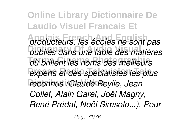**Online Library Dictionnaire De Laudio Visuel Francais Et Anglais French And English** *producteurs, les écoles ne sont pas* **Dictionary Of Audio Visual** *oubliés dans une table des matières* **Terms Cinema Photographie** *où brillent les noms des meilleurs* experts et des spécialistes les plus **Distribution Video** *reconnus (Claude Beylie, Jean Collet, Alain Garel, Joël Magny, René Prédal, Noël Simsolo...). Pour*

Page 71/76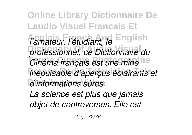**Online Library Dictionnaire De Laudio Visuel Francais Et Anglais French And English** *l'amateur, l'étudiant, le* **Dictionary Of Audio Visual** *professionnel, ce Dictionnaire du Cinéma français est une mine* **Presse Radio Television Tele** *inépuisable d'aperçus éclairants et*  $d'$ *informations sûres.* 

*La science est plus que jamais objet de controverses. Elle est*

Page 72/76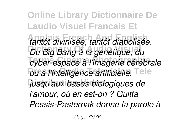**Online Library Dictionnaire De Laudio Visuel Francais Et Anglais French And English** *tantôt divinisée, tantôt diabolisée.* **Du Big Bang à la génétique, du Terms Cinema Photographie** *cyber-espace à l'imagerie cérébrale*  $\overline{\text{ou}}$  à l'intelligence artificielle, Tele **Distribution Video** *jusqu'aux bases biologiques de l'amour, où en est-on ? Guitta Pessis-Pasternak donne la parole à*

Page 73/76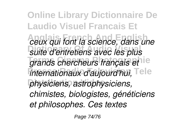**Online Library Dictionnaire De Laudio Visuel Francais Et Anglais French And English** *ceux qui font la science, dans une* **Dictionary Of Audio Visual** *suite d'entretiens avec les plus* grands chercheurs français et le *internationaux d'aujourd'hui,* Tele **Distribution Video** *physiciens, astrophysiciens, chimistes, biologistes, généticiens et philosophes. Ces textes*

Page 74/76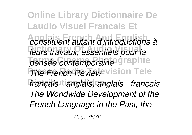**Online Library Dictionnaire De Laudio Visuel Francais Et Anglais French And English** *constituent autant d'introductions à* **Dictionary Of Audio Visual** *leurs travaux, essentiels pour la* pensée contemporaine. graphie *The French Reviewevision Tele* **Distribution Video** *français - anglais, anglais - français The Worldwide Development of the French Language in the Past, the*

Page 75/76